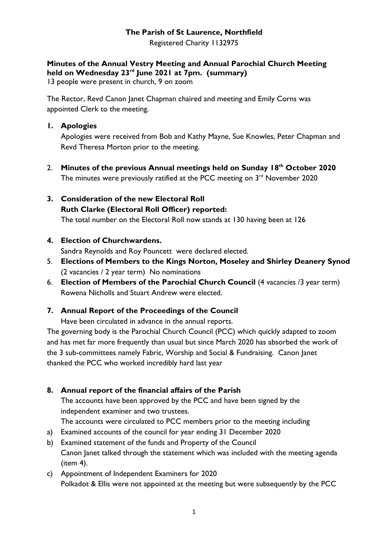# **The Parish of St Laurence, Northfield**

Registered Charity 1132975

## **Minutes of the Annual Vestry Meeting and Annual Parochial Church Meeting held on Wednesday 23rd June 2021 at 7pm. (summary)**

13 people were present in church, 9 on zoom

The Rector, Revd Canon Janet Chapman chaired and meeting and Emily Corns was appointed Clerk to the meeting.

### **1. Apologies**

Apologies were received from Bob and Kathy Mayne, Sue Knowles, Peter Chapman and Revd Theresa Morton prior to the meeting.

2. **Minutes of the previous Annual meetings held on Sunday 18 th October 2020** The minutes were previously ratified at the PCC meeting on  $3<sup>rd</sup>$  November 2020

# **3. Consideration of the new Electoral Roll Ruth Clarke (Electoral Roll Officer) reported:**

The total number on the Electoral Roll now stands at 130 having been at 126

## **4. Election of Churchwardens.**

Sandra Reynolds and Roy Pouncett were declared elected.

- 5. **Elections of Members to the Kings Norton, Moseley and Shirley Deanery Synod** (2 vacancies / 2 year term) No nominations
- 6. **Election of Members of the Parochial Church Council** (4 vacancies /3 year term) Rowena Nicholls and Stuart Andrew were elected.

# **7. Annual Report of the Proceedings of the Council**

Have been circulated in advance in the annual reports.

The governing body is the Parochial Church Council (PCC) which quickly adapted to zoom and has met far more frequently than usual but since March 2020 has absorbed the work of the 3 sub-committees namely Fabric, Worship and Social & Fundraising. Canon Janet thanked the PCC who worked incredibly hard last year

# **8. Annual report of the financial affairs of the Parish**

The accounts have been approved by the PCC and have been signed by the independent examiner and two trustees.

The accounts were circulated to PCC members prior to the meeting including

- a) Examined accounts of the council for year ending 31 December 2020
- b) Examined statement of the funds and Property of the Council Canon Janet talked through the statement which was included with the meeting agenda (item 4).
- c) Appointment of Independent Examiners for 2020 Polkadot & Ellis were not appointed at the meeting but were subsequently by the PCC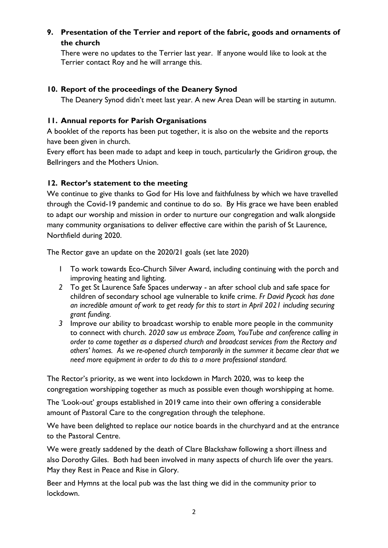### **9. Presentation of the Terrier and report of the fabric, goods and ornaments of the church**

There were no updates to the Terrier last year. If anyone would like to look at the Terrier contact Roy and he will arrange this.

### **10. Report of the proceedings of the Deanery Synod**

The Deanery Synod didn't meet last year. A new Area Dean will be starting in autumn.

#### **11. Annual reports for Parish Organisations**

A booklet of the reports has been put together, it is also on the website and the reports have been given in church.

Every effort has been made to adapt and keep in touch, particularly the Gridiron group, the Bellringers and the Mothers Union.

#### **12. Rector's statement to the meeting**

We continue to give thanks to God for His love and faithfulness by which we have travelled through the Covid-19 pandemic and continue to do so. By His grace we have been enabled to adapt our worship and mission in order to nurture our congregation and walk alongside many community organisations to deliver effective care within the parish of St Laurence, Northfield during 2020.

The Rector gave an update on the 2020/21 goals (set late 2020)

- 1 To work towards Eco-Church Silver Award, including continuing with the porch and improving heating and lighting.
- *2* To get St Laurence Safe Spaces underway an after school club and safe space for children of secondary school age vulnerable to knife crime. *Fr David Pycock has done an incredible amount of work to get ready for this to start in April 2021 including securing grant funding.*
- *3* Improve our ability to broadcast worship to enable more people in the community to connect with church. *2020 saw us embrace Zoom, YouTube and conference calling in order to come together as a dispersed church and broadcast services from the Rectory and others' homes. As we re-opened church temporarily in the summer it became clear that we need more equipment in order to do this to a more professional standard.*

The Rector's priority, as we went into lockdown in March 2020, was to keep the congregation worshipping together as much as possible even though worshipping at home.

The 'Look-out' groups established in 2019 came into their own offering a considerable amount of Pastoral Care to the congregation through the telephone.

We have been delighted to replace our notice boards in the churchyard and at the entrance to the Pastoral Centre.

We were greatly saddened by the death of Clare Blackshaw following a short illness and also Dorothy Giles. Both had been involved in many aspects of church life over the years. May they Rest in Peace and Rise in Glory.

Beer and Hymns at the local pub was the last thing we did in the community prior to lockdown.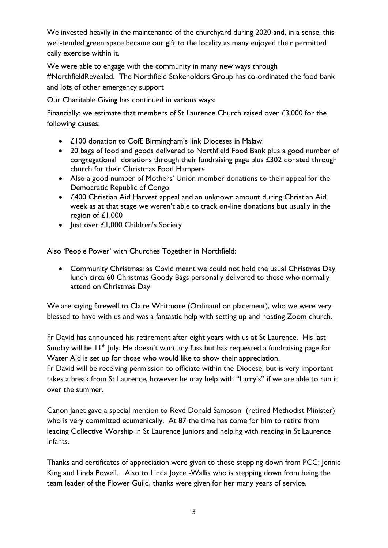We invested heavily in the maintenance of the churchyard during 2020 and, in a sense, this well-tended green space became our gift to the locality as many enjoyed their permitted daily exercise within it.

We were able to engage with the community in many new ways through #NorthfieldRevealed. The Northfield Stakeholders Group has co-ordinated the food bank and lots of other emergency support

Our Charitable Giving has continued in various ways:

Financially: we estimate that members of St Laurence Church raised over £3,000 for the following causes;

- £100 donation to CofE Birmingham's link Dioceses in Malawi
- 20 bags of food and goods delivered to Northfield Food Bank plus a good number of congregational donations through their fundraising page plus £302 donated through church for their Christmas Food Hampers
- Also a good number of Mothers' Union member donations to their appeal for the Democratic Republic of Congo
- £400 Christian Aid Harvest appeal and an unknown amount during Christian Aid week as at that stage we weren't able to track on-line donations but usually in the region of £1,000
- Just over £1,000 Children's Society

Also 'People Power' with Churches Together in Northfield:

• Community Christmas: as Covid meant we could not hold the usual Christmas Day lunch circa 60 Christmas Goody Bags personally delivered to those who normally attend on Christmas Day

We are saying farewell to Claire Whitmore (Ordinand on placement), who we were very blessed to have with us and was a fantastic help with setting up and hosting Zoom church.

Fr David has announced his retirement after eight years with us at St Laurence. His last Sunday will be  $11<sup>th</sup>$  July. He doesn't want any fuss but has requested a fundraising page for Water Aid is set up for those who would like to show their appreciation.

Fr David will be receiving permission to officiate within the Diocese, but is very important takes a break from St Laurence, however he may help with "Larry's" if we are able to run it over the summer.

Canon Janet gave a special mention to Revd Donald Sampson (retired Methodist Minister) who is very committed ecumenically. At 87 the time has come for him to retire from leading Collective Worship in St Laurence Juniors and helping with reading in St Laurence Infants.

Thanks and certificates of appreciation were given to those stepping down from PCC; Jennie King and Linda Powell. Also to Linda Joyce -Wallis who is stepping down from being the team leader of the Flower Guild, thanks were given for her many years of service.